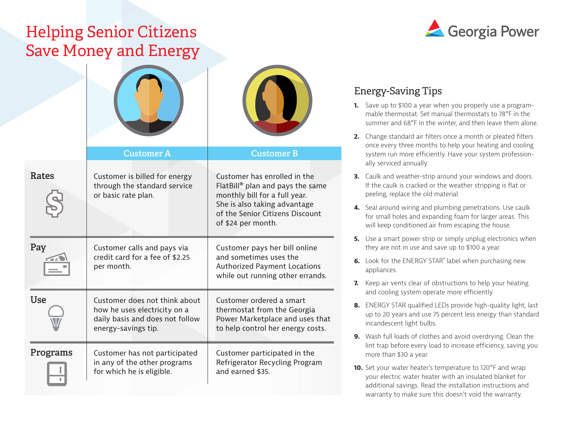## Helping Senior Citizens Save Money and Energy

|            | <b>Customer A</b>                                                                                                       | <b>Customer B</b>                                                                                                                                                                                      |
|------------|-------------------------------------------------------------------------------------------------------------------------|--------------------------------------------------------------------------------------------------------------------------------------------------------------------------------------------------------|
| Rates      | Customer is billed for energy<br>through the standard service<br>or basic rate plan.                                    | Customer has enrolled in the<br>FlatBill <sup>®</sup> plan and pays the same<br>monthly bill for a full year.<br>She is also taking advantage<br>of the Senior Citizens Discount<br>of \$24 per month. |
| Pay        | Customer calls and pays via<br>credit card for a fee of \$2.25<br>per month.                                            | Customer pays her bill online<br>and sometimes uses the<br><b>Authorized Payment Locations</b><br>while out running other errands.                                                                     |
| <b>Use</b> | Customer does not think about<br>how he uses electricity on a<br>daily basis and does not follow<br>energy-savings tip. | Customer ordered a smart<br>thermostat from the Georgia<br>Power Marketplace and uses that<br>to help control her energy costs.                                                                        |
| Programs   | Customer has not participated<br>in any of the other programs<br>for which he is eligible.                              | Customer participated in the<br>Refrigerator Recycling Program<br>and earned \$35.                                                                                                                     |



#### Energy-Saving Tips

- **1.** Save up to \$100 a year when you properly use a programmable thermostat. Set manual thermostats to 78°F in the summer and 68°F in the winter, and then leave them alone.
- **2.** Change standard air filters once a month or pleated filters once every three months to help your heating and cooling system run more efficiently. Have your system professionally serviced annually.
- **3.** Caulk and weather-strip around your windows and doors. If the caulk is cracked or the weather stripping is flat or peeling, replace the old material.
- **4.** Seal around wiring and plumbing penetrations. Use caulk for small holes and expanding foam for larger areas. This will keep conditioned air from escaping the house.
- **5.** Use a smart power strip or simply unplug electronics when they are not in use and save up to \$100 a year.
- **6.** Look for the ENERGY STAR® label when purchasing new appliances.
- **7.** Keep air vents clear of obstructions to help your heating and cooling system operate more efficiently.
- **8.** ENERGY STAR qualified LEDs provide high-quality light, last up to 20 years and use 75 percent less energy than standard incandescent light bulbs.
- **9.** Wash full loads of clothes and avoid overdrying. Clean the lint trap before every load to increase efficiency, saving you more than \$30 a year.
- **10.** Set your water heater's temperature to 120°F and wrap your electric water heater with an insulated blanket for additional savings. Read the installation instructions and warranty to make sure this doesn't void the warranty.